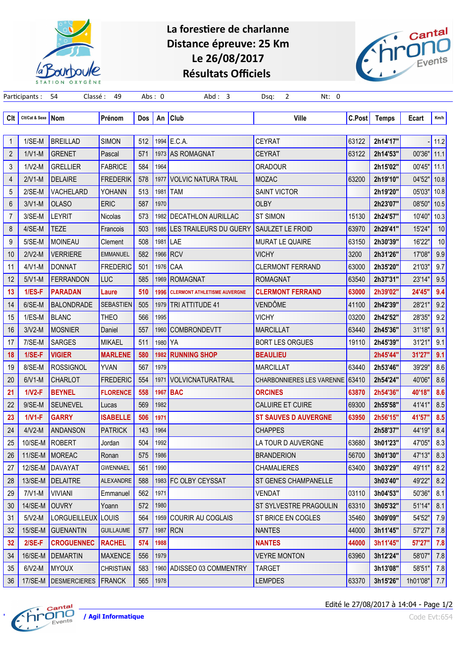

## La forestiere de charlanne Distance épreuve: 25 Km Le 26/08/2017 Résultats Officiels

Participants : 54 Classé : 49 Abs : 0 Abd : 3 Dsq: 2 Nt: 0



| Clt            | Cit/Cat & Sexe | Nom                             | Prénom           | Dos | An      | <b>Club</b>                         | <b>Ville</b>                     | C.Post | Temps    | Ecart    | Km/h |
|----------------|----------------|---------------------------------|------------------|-----|---------|-------------------------------------|----------------------------------|--------|----------|----------|------|
|                |                |                                 |                  |     |         |                                     |                                  |        |          |          |      |
| 1              | $1/SE-M$       | <b>BREILLAD</b>                 | <b>SIMON</b>     | 512 |         | 1994 E.C.A.                         | <b>CEYRAT</b>                    | 63122  | 2h14'17" |          | 11.2 |
| $\overline{2}$ | $1/V1-M$       | <b>GRENET</b>                   | Pascal           | 571 |         | 1973 AS ROMAGNAT                    | <b>CEYRAT</b>                    | 63122  | 2h14'53" | 00'36"   | 11.1 |
| 3              | $1/V2-M$       | <b>GRELLIER</b>                 | <b>FABRICE</b>   | 584 | 1964    |                                     | <b>ORADOUR</b>                   |        | 2h15'02" | 00'45"   | 11.1 |
| 4              | $2/V1-M$       | <b>DELAIRE</b>                  | <b>FREDERIK</b>  | 578 | 1977    | <b>VOLVIC NATURA TRAIL</b>          | <b>MOZAC</b>                     | 63200  | 2h19'10" | 04'52"   | 10.8 |
| 5              | $2/SE-M$       | <b>VACHELARD</b>                | YOHANN           | 513 | 1981    | <b>TAM</b>                          | <b>SAINT VICTOR</b>              |        | 2h19'20" | 05'03"   | 10.8 |
| 6              | $3/V1-M$       | <b>OLASO</b>                    | <b>ERIC</b>      | 587 | 1970    |                                     | <b>OLBY</b>                      |        | 2h23'07" | 08'50"   | 10.5 |
| $\overline{7}$ | 3/SE-M         | <b>LEYRIT</b>                   | Nicolas          | 573 |         | 1982 DECATHLON AURILLAC             | <b>ST SIMON</b>                  | 15130  | 2h24'57" | 10'40"   | 10.3 |
| 8              | 4/SE-M         | <b>TEZE</b>                     | Francois         | 503 |         | 1985 LES TRAILEURS DU GUERY         | <b>SAULZET LE FROID</b>          | 63970  | 2h29'41" | 15'24"   | 10   |
| 9              | 5/SE-M         | <b>MOINEAU</b>                  | Clement          | 508 | 1981    | <b>ILAE</b>                         | <b>MURAT LE QUAIRE</b>           | 63150  | 2h30'39" | 16'22"   | 10   |
| 10             | $2/V2-M$       | <b>VERRIERE</b>                 | <b>EMMANUEL</b>  | 582 |         | 1966 RCV                            | <b>VICHY</b>                     | 3200   | 2h31'26" | 17'08"   | 9.9  |
| 11             | $4/V1-M$       | <b>DONNAT</b>                   | <b>FREDERIC</b>  | 501 |         | 1976 CAA                            | <b>CLERMONT FERRAND</b>          | 63000  | 2h35'20" | 21'03"   | 9.7  |
| 12             | $5/V1-M$       | <b>FERRANDON</b>                | <b>LUC</b>       | 585 |         | 1969 ROMAGNAT                       | <b>ROMAGNAT</b>                  | 63540  | 2h37'31" | 23'14"   | 9.5  |
| 13             | $1/ES-F$       | <b>PARADAN</b>                  | Laure            | 510 | 1996    | <b>CLERMONT ATHLETISME AUVERGNE</b> | <b>CLERMONT FERRAND</b>          | 63000  | 2h39'02" | 24'45"   | 9.4  |
| 14             | 6/SE-M         | <b>BALONDRADE</b>               | <b>SEBASTIEN</b> | 505 |         | 1979   TRI ATTITUDE 41              | <b>VENDÔME</b>                   | 41100  | 2h42'39" | 28'21"   | 9.2  |
| 15             | $1/ES-M$       | <b>BLANC</b>                    | THEO             | 566 | 1995    |                                     | <b>VICHY</b>                     | 03200  | 2h42'52" | 28'35"   | 9.2  |
| 16             | $3/V2-M$       | <b>MOSNIER</b>                  | Daniel           | 557 |         | 1960 COMBRONDEVTT                   | <b>MARCILLAT</b>                 | 63440  | 2h45'36" | 31'18"   | 9.1  |
| 17             | 7/SE-M         | <b>SARGES</b>                   | <b>MIKAEL</b>    | 511 | 1980 YA |                                     | <b>BORT LES ORGUES</b>           | 19110  | 2h45'39" | 31'21"   | 9.1  |
| 18             | $1/SE-F$       | <b>VIGIER</b>                   | <b>MARLENE</b>   | 580 | 1982    | <b>RUNNING SHOP</b>                 | <b>BEAULIEU</b>                  |        | 2h45'44" | 31'27"   | 9.1  |
| 19             | 8/SE-M         | <b>ROSSIGNOL</b>                | <b>YVAN</b>      | 567 | 1979    |                                     | <b>MARCILLAT</b>                 | 63440  | 2h53'46" | 39'29"   | 8.6  |
| 20             | $6/V1-M$       | <b>CHARLOT</b>                  | <b>FREDERIC</b>  | 554 | 1971    | <b>VOLVICNATURATRAIL</b>            | <b>CHARBONNIERES LES VARENNE</b> | 63410  | 2h54'24" | 40'06"   | 8.6  |
| 21             | $1/N2-F$       | <b>BEYNEL</b>                   | <b>FLORENCE</b>  | 558 | 1967    | <b>BAC</b>                          | <b>ORCINES</b>                   | 63870  | 2h54'36" | 40'18"   | 8.6  |
| 22             | $9/SE-M$       | <b>SEUNEVEL</b>                 | Lucas            | 569 | 1982    |                                     | <b>CALUIRE ET CUIRE</b>          | 69300  | 2h55'58" | 41'41"   | 8.5  |
| 23             | $1/V1-F$       | <b>GARRY</b>                    | <b>ISABELLE</b>  | 506 | 1971    |                                     | <b>ST SAUVES D AUVERGNE</b>      | 63950  | 2h56'15" | 41'57"   | 8.5  |
| 24             | $4/N2-M$       | <b>ANDANSON</b>                 | <b>PATRICK</b>   | 143 | 1964    |                                     | <b>CHAPPES</b>                   |        | 2h58'37" | 44'19"   | 8.4  |
| 25             | 10/SE-M        | <b>ROBERT</b>                   | Jordan           | 504 | 1992    |                                     | LA TOUR D AUVERGNE               | 63680  | 3h01'23" | 47'05"   | 8.3  |
| 26             | 11/SE-M        | MOREAC                          | Ronan            | 575 | 1986    |                                     | <b>BRANDERION</b>                | 56700  | 3h01'30" | 47'13"   | 8.3  |
| 27             |                | 12/SE-M   DAVAYAT               | <b>GWENNAEL</b>  | 561 | 1990    |                                     | <b>CHAMALIERES</b>               | 63400  | 3h03'29" | 49'11"   | 8.2  |
| 28             | 13/SE-M        | DELAITRE                        | ALEXANDRE        | 588 |         | 1983 FC OLBY CEYSSAT                | <b>ST GENES CHAMPANELLE</b>      |        | 3h03'40" | 49'22"   | 8.2  |
| 29             | $7/V1-M$       | <b>VIVIANI</b>                  | Emmanuel         | 562 | 1971    |                                     | <b>VENDAT</b>                    | 03110  | 3h04'53" | 50'36"   | 8.1  |
| 30             | 14/SE-M        | <b>OUVRY</b>                    | Yoann            | 572 | 1980    |                                     | ST SYLVESTRE PRAGOULIN           | 63310  | 3h05'32" | 51'14"   | 8.1  |
| 31             | $5/V2-M$       | LORGUEILLEUX                    | <b>LOUIS</b>     | 564 |         | 1959 COURIR AU COGLAIS              | ST BRICE EN COGLES               | 35460  | 3h09'09" | 54'52"   | 7.9  |
| 32             | 15/SE-M        | <b>GUENANTIN</b>                | <b>GUILLAUME</b> | 577 |         | 1987 RCN                            | <b>NANTES</b>                    | 44000  | 3h11'45" | 57'27"   | 7.8  |
| 32             | $2/SE-F$       | <b>CROGUENNEC</b>               | <b>RACHEL</b>    | 574 | 1988    |                                     | <b>NANTES</b>                    | 44000  | 3h11'45" | 57'27"   | 7.8  |
| 34             | 16/SE-M        | DEMARTIN                        | <b>MAXENCE</b>   | 556 | 1979    |                                     | <b>VEYRE MONTON</b>              | 63960  | 3h12'24" | 58'07"   | 7.8  |
| 35             | $6/V2-M$       | MYOUX                           | <b>CHRISTIAN</b> | 583 |         | 1960 ADISSEO 03 COMMENTRY           | <b>TARGET</b>                    |        | 3h13'08" | 58'51"   | 7.8  |
| 36             |                | 17/SE-M   DESMERCIERES   FRANCK |                  | 565 | 1978    |                                     | <b>LEMPDES</b>                   | 63370  | 3h15'26" | 1h01'08" | 7.7  |



Edité le 27/08/2017 à 14:04 - Page 1/2